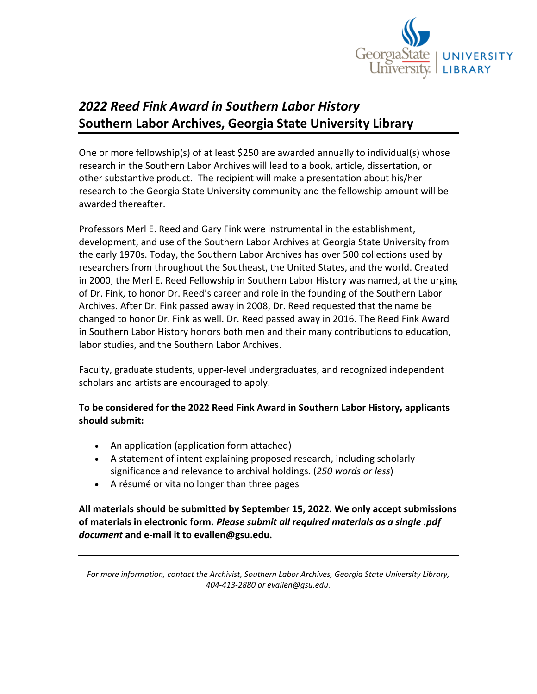

# *2022 Reed Fink Award in Southern Labor History* **Southern Labor Archives, Georgia State University Library**

One or more fellowship(s) of at least \$250 are awarded annually to individual(s) whose research in the Southern Labor Archives will lead to a book, article, dissertation, or other substantive product. The recipient will make a presentation about his/her research to the Georgia State University community and the fellowship amount will be awarded thereafter.

Professors Merl E. Reed and Gary Fink were instrumental in the establishment, development, and use of the Southern Labor Archives at Georgia State University from the early 1970s. Today, the Southern Labor Archives has over 500 collections used by researchers from throughout the Southeast, the United States, and the world. Created in 2000, the Merl E. Reed Fellowship in Southern Labor History was named, at the urging of Dr. Fink, to honor Dr. Reed's career and role in the founding of the Southern Labor Archives. After Dr. Fink passed away in 2008, Dr. Reed requested that the name be changed to honor Dr. Fink as well. Dr. Reed passed away in 2016. The Reed Fink Award in Southern Labor History honors both men and their many contributions to education, labor studies, and the Southern Labor Archives.

Faculty, graduate students, upper-level undergraduates, and recognized independent scholars and artists are encouraged to apply.

## **To be considered for the 2022 Reed Fink Award in Southern Labor History, applicants should submit:**

- An application (application form attached)
- A statement of intent explaining proposed research, including scholarly significance and relevance to archival holdings. (*250 words or less*)
- A résumé or vita no longer than three pages

**All materials should be submitted by September 15, 2022. We only accept submissions of materials in electronic form.** *Please submit all required materials as a single .pdf document* **and e-mail it to evallen@gsu.edu.**

*For more information, contact the Archivist, Southern Labor Archives, Georgia State University Library, 404-413-2880 or evallen@gsu.edu.*